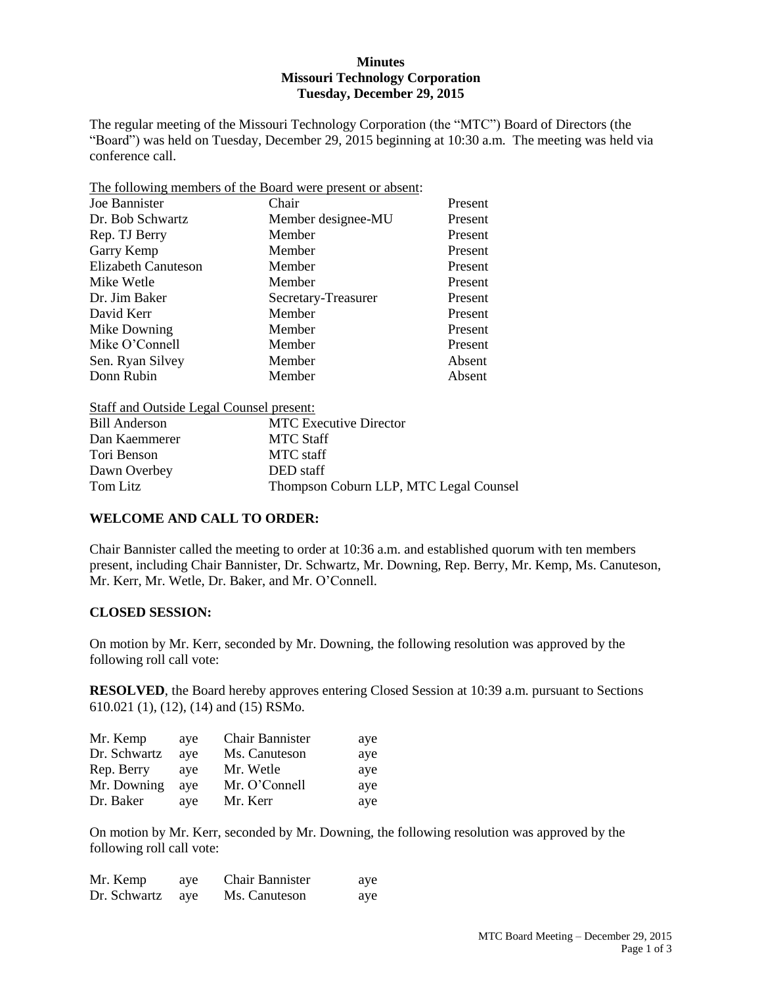## **Minutes Missouri Technology Corporation Tuesday, December 29, 2015**

The regular meeting of the Missouri Technology Corporation (the "MTC") Board of Directors (the "Board") was held on Tuesday, December 29, 2015 beginning at 10:30 a.m. The meeting was held via conference call.

The following members of the Board were present or absent:

| Joe Bannister       | Chair               | Present |
|---------------------|---------------------|---------|
| Dr. Bob Schwartz    | Member designee-MU  | Present |
| Rep. TJ Berry       | Member              | Present |
| Garry Kemp          | Member              | Present |
| Elizabeth Canuteson | Member              | Present |
| Mike Wetle          | Member              | Present |
| Dr. Jim Baker       | Secretary-Treasurer | Present |
| David Kerr          | Member              | Present |
| Mike Downing        | Member              | Present |
| Mike O'Connell      | Member              | Present |
| Sen. Ryan Silvey    | Member              | Absent  |
| Donn Rubin          | Member              | Absent  |

| Staff and Outside Legal Counsel present: |                                        |
|------------------------------------------|----------------------------------------|
| <b>Bill Anderson</b>                     | <b>MTC</b> Executive Director          |
| Dan Kaemmerer                            | <b>MTC Staff</b>                       |
| Tori Benson                              | MTC staff                              |
| Dawn Overbey                             | DED staff                              |
| Tom Litz                                 | Thompson Coburn LLP, MTC Legal Counsel |

## **WELCOME AND CALL TO ORDER:**

Chair Bannister called the meeting to order at 10:36 a.m. and established quorum with ten members present, including Chair Bannister, Dr. Schwartz, Mr. Downing, Rep. Berry, Mr. Kemp, Ms. Canuteson, Mr. Kerr, Mr. Wetle, Dr. Baker, and Mr. O'Connell.

## **CLOSED SESSION:**

On motion by Mr. Kerr, seconded by Mr. Downing, the following resolution was approved by the following roll call vote:

**RESOLVED**, the Board hereby approves entering Closed Session at 10:39 a.m. pursuant to Sections 610.021 (1), (12), (14) and (15) RSMo.

| Mr. Kemp     | ave | <b>Chair Bannister</b> | aye |
|--------------|-----|------------------------|-----|
| Dr. Schwartz | ave | Ms. Canuteson          | aye |
| Rep. Berry   | ave | Mr. Wetle              | aye |
| Mr. Downing  | ave | Mr. O'Connell          | aye |
| Dr. Baker    | ave | Mr. Kerr               | aye |

On motion by Mr. Kerr, seconded by Mr. Downing, the following resolution was approved by the following roll call vote:

| Mr. Kemp     | aye | <b>Chair Bannister</b> | aye |
|--------------|-----|------------------------|-----|
| Dr. Schwartz | ave | Ms. Canuteson          | aye |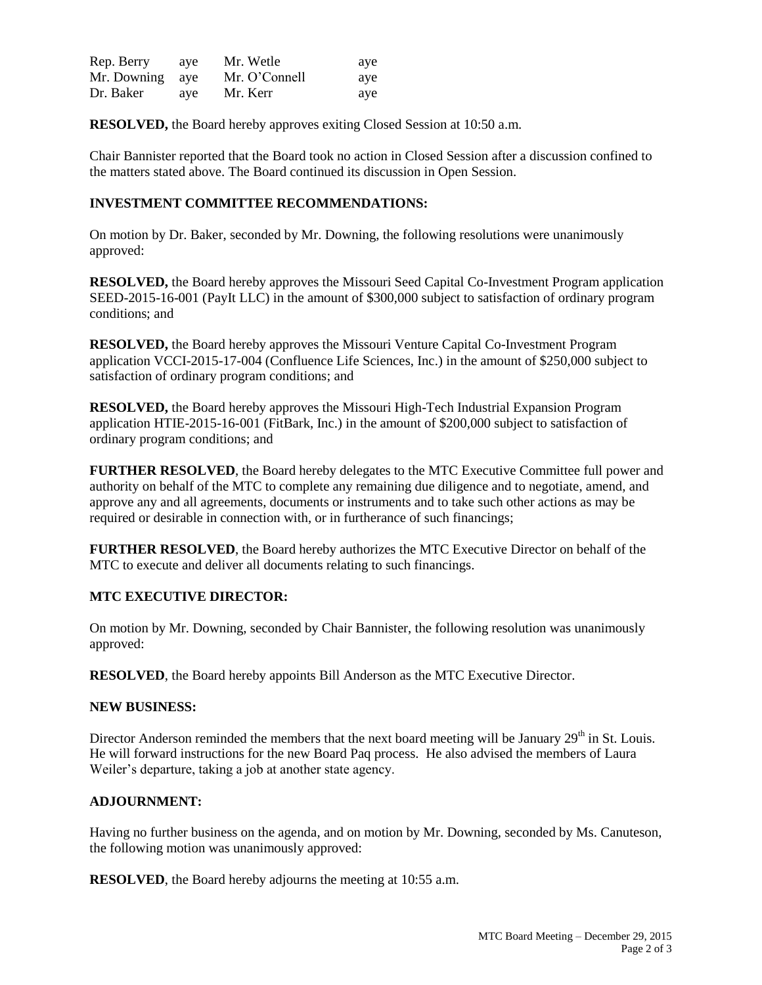| Rep. Berry      | ave | Mr. Wetle     | aye |
|-----------------|-----|---------------|-----|
| Mr. Downing aye |     | Mr. O'Connell | aye |
| Dr. Baker       | aye | Mr. Kerr      | aye |

**RESOLVED,** the Board hereby approves exiting Closed Session at 10:50 a.m.

Chair Bannister reported that the Board took no action in Closed Session after a discussion confined to the matters stated above. The Board continued its discussion in Open Session.

## **INVESTMENT COMMITTEE RECOMMENDATIONS:**

On motion by Dr. Baker, seconded by Mr. Downing, the following resolutions were unanimously approved:

**RESOLVED,** the Board hereby approves the Missouri Seed Capital Co-Investment Program application SEED-2015-16-001 (PayIt LLC) in the amount of \$300,000 subject to satisfaction of ordinary program conditions; and

**RESOLVED,** the Board hereby approves the Missouri Venture Capital Co-Investment Program application VCCI-2015-17-004 (Confluence Life Sciences, Inc.) in the amount of \$250,000 subject to satisfaction of ordinary program conditions; and

**RESOLVED,** the Board hereby approves the Missouri High-Tech Industrial Expansion Program application HTIE-2015-16-001 (FitBark, Inc.) in the amount of \$200,000 subject to satisfaction of ordinary program conditions; and

**FURTHER RESOLVED**, the Board hereby delegates to the MTC Executive Committee full power and authority on behalf of the MTC to complete any remaining due diligence and to negotiate, amend, and approve any and all agreements, documents or instruments and to take such other actions as may be required or desirable in connection with, or in furtherance of such financings;

**FURTHER RESOLVED**, the Board hereby authorizes the MTC Executive Director on behalf of the MTC to execute and deliver all documents relating to such financings.

#### **MTC EXECUTIVE DIRECTOR:**

On motion by Mr. Downing, seconded by Chair Bannister, the following resolution was unanimously approved:

**RESOLVED**, the Board hereby appoints Bill Anderson as the MTC Executive Director.

#### **NEW BUSINESS:**

Director Anderson reminded the members that the next board meeting will be January  $29<sup>th</sup>$  in St. Louis. He will forward instructions for the new Board Paq process. He also advised the members of Laura Weiler's departure, taking a job at another state agency.

## **ADJOURNMENT:**

Having no further business on the agenda, and on motion by Mr. Downing, seconded by Ms. Canuteson, the following motion was unanimously approved:

**RESOLVED**, the Board hereby adjourns the meeting at 10:55 a.m.